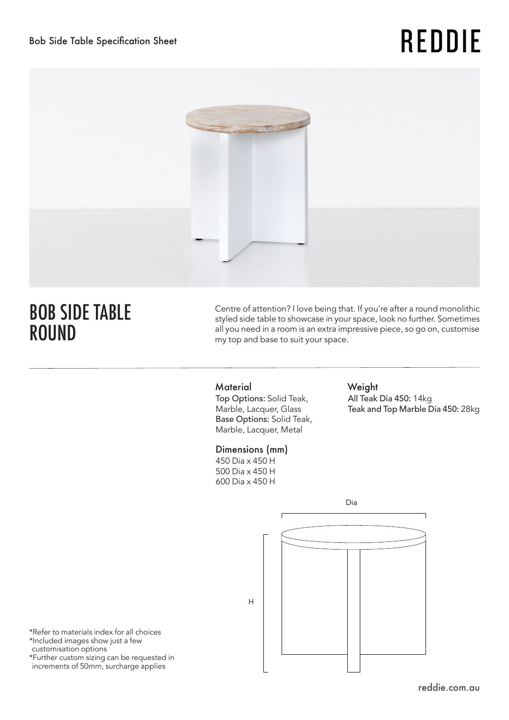# **REDDIE**



# BOB SIDE TABLE ROUND

Centre of attention? I love being that. If you're after a round monolithic styled side table to showcase in your space, look no further. Sometimes all you need in a room is an extra impressive piece, so go on, customise my top and base to suit your space.

### Material Weight

Top Options: Solid Teak, Marble, Lacquer, Glass Base Options: Solid Teak, Marble, Lacquer, Metal

### Dimensions (mm)

450 Dia x 450 H 500 Dia x 450 H 600 Dia x 450 H

All Teak Dia 450: 14kg Teak and Top Marble Dia 450: 28kg

Dia H

\*Refer to materials index for all choices \*Included images show just a few customisation options \*Further custom sizing can be requested in

increments of 50mm, surcharge applies